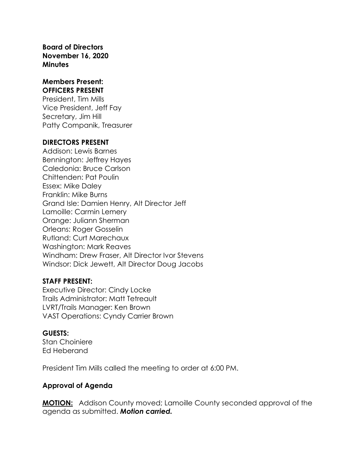**Board of Directors November 16, 2020 Minutes**

#### **Members Present: OFFICERS PRESENT**

President, Tim Mills Vice President, Jeff Fay Secretary, Jim Hill Patty Companik, Treasurer

#### **DIRECTORS PRESENT**

Addison: Lewis Barnes Bennington: Jeffrey Hayes Caledonia: Bruce Carlson Chittenden: Pat Poulin Essex: Mike Daley Franklin: Mike Burns Grand Isle: Damien Henry, Alt Director Jeff Lamoille: Carmin Lemery Orange: Juliann Sherman Orleans: Roger Gosselin Rutland: Curt Marechaux Washington: Mark Reaves Windham: Drew Fraser, Alt Director Ivor Stevens Windsor: Dick Jewett, Alt Director Doug Jacobs

#### **STAFF PRESENT:**

Executive Director: Cindy Locke Trails Administrator: Matt Tetreault LVRT/Trails Manager: Ken Brown VAST Operations: Cyndy Carrier Brown

### **GUESTS:**

Stan Choiniere Ed Heberand

President Tim Mills called the meeting to order at 6:00 PM.

### **Approval of Agenda**

**MOTION:** Addison County moved; Lamoille County seconded approval of the agenda as submitted. *Motion carried.*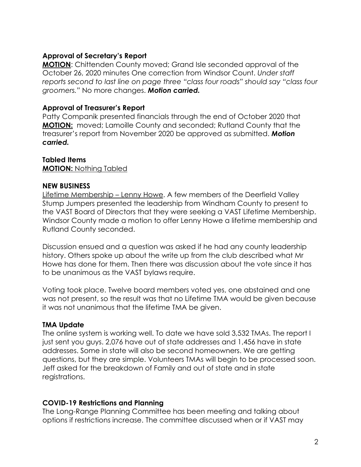## **Approval of Secretary's Report**

**MOTION**: Chittenden County moved; Grand Isle seconded approval of the October 26, 2020 minutes One correction from Windsor Count. *Under staff reports second to last line on page three "class four roads" should say "class four groomers."* No more changes. *Motion carried.*

### **Approval of Treasurer's Report**

Patty Companik presented financials through the end of October 2020 that **MOTION:** moved; Lamoille County and seconded; Rutland County that the treasurer's report from November 2020 be approved as submitted. *Motion carried.*

# **Tabled Items**

**MOTION:** Nothing Tabled

# **NEW BUSINESS**

Lifetime Membership – Lenny Howe. A few members of the Deerfield Valley Stump Jumpers presented the leadership from Windham County to present to the VAST Board of Directors that they were seeking a VAST Lifetime Membership. Windsor County made a motion to offer Lenny Howe a lifetime membership and Rutland County seconded.

Discussion ensued and a question was asked if he had any county leadership history. Others spoke up about the write up from the club described what Mr Howe has done for them. Then there was discussion about the vote since it has to be unanimous as the VAST bylaws require.

Voting took place. Twelve board members voted yes, one abstained and one was not present, so the result was that no Lifetime TMA would be given because it was not unanimous that the lifetime TMA be given.

# **TMA Update**

The online system is working well. To date we have sold 3,532 TMAs. The report I just sent you guys. 2,076 have out of state addresses and 1,456 have in state addresses. Some in state will also be second homeowners. We are getting questions, but they are simple. Volunteers TMAs will begin to be processed soon. Jeff asked for the breakdown of Family and out of state and in state registrations.

# **COVID-19 Restrictions and Planning**

The Long-Range Planning Committee has been meeting and talking about options if restrictions increase. The committee discussed when or if VAST may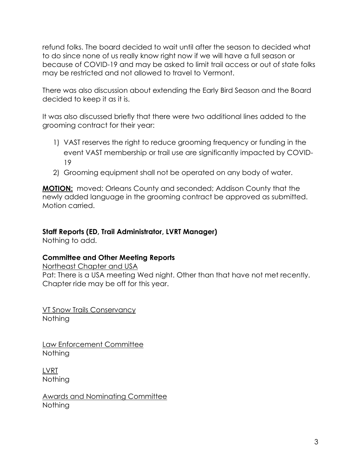refund folks. The board decided to wait until after the season to decided what to do since none of us really know right now if we will have a full season or because of COVID-19 and may be asked to limit trail access or out of state folks may be restricted and not allowed to travel to Vermont.

There was also discussion about extending the Early Bird Season and the Board decided to keep it as it is.

It was also discussed briefly that there were two additional lines added to the grooming contract for their year:

- 1) VAST reserves the right to reduce grooming frequency or funding in the event VAST membership or trail use are significantly impacted by COVID-19
- 2) Grooming equipment shall not be operated on any body of water.

**MOTION:** moved; Orleans County and seconded; Addison County that the newly added language in the grooming contract be approved as submitted. Motion carried.

# **Staff Reports (ED, Trail Administrator, LVRT Manager)**

Nothing to add.

### **Committee and Other Meeting Reports**

Northeast Chapter and USA Pat: There is a USA meeting Wed night. Other than that have not met recently. Chapter ride may be off for this year.

VT Snow Trails Conservancy Nothing

Law Enforcement Committee Nothing

LVRT Nothing

Awards and Nominating Committee **Nothing**